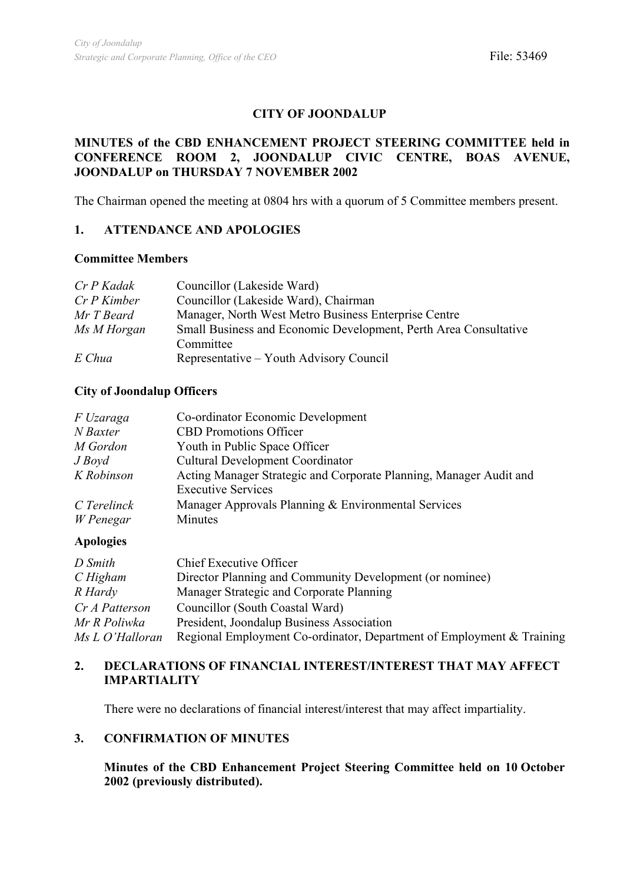# **CITY OF JOONDALUP**

## **MINUTES of the CBD ENHANCEMENT PROJECT STEERING COMMITTEE held in CONFERENCE ROOM 2, JOONDALUP CIVIC CENTRE, BOAS AVENUE, JOONDALUP on THURSDAY 7 NOVEMBER 2002**

The Chairman opened the meeting at 0804 hrs with a quorum of 5 Committee members present.

## **1. ATTENDANCE AND APOLOGIES**

#### **Committee Members**

| Cr P Kadak    | Councillor (Lakeside Ward)                                       |
|---------------|------------------------------------------------------------------|
| $Cr P$ Kimber | Councillor (Lakeside Ward), Chairman                             |
| Mr T Beard    | Manager, North West Metro Business Enterprise Centre             |
| Ms M Horgan   | Small Business and Economic Development, Perth Area Consultative |
|               | Committee                                                        |
| E Chua        | Representative – Youth Advisory Council                          |

## **City of Joondalup Officers**

| F Uzaraga   | Co-ordinator Economic Development                                  |
|-------------|--------------------------------------------------------------------|
| N Baxter    | <b>CBD</b> Promotions Officer                                      |
| M Gordon    | Youth in Public Space Officer                                      |
| $J$ Boyd    | Cultural Development Coordinator                                   |
| K Robinson  | Acting Manager Strategic and Corporate Planning, Manager Audit and |
|             | <b>Executive Services</b>                                          |
| C Terelinck | Manager Approvals Planning & Environmental Services                |
| W Penegar   | Minutes                                                            |

## **Apologies**

| D Smith         | <b>Chief Executive Officer</b>                                        |
|-----------------|-----------------------------------------------------------------------|
| CHigham         | Director Planning and Community Development (or nominee)              |
| R Hardy         | Manager Strategic and Corporate Planning                              |
| Cr A Patterson  | Councillor (South Coastal Ward)                                       |
| Mr R Poliwka    | President, Joondalup Business Association                             |
| Ms L O'Halloran | Regional Employment Co-ordinator, Department of Employment & Training |

# **2. DECLARATIONS OF FINANCIAL INTEREST/INTEREST THAT MAY AFFECT IMPARTIALITY**

There were no declarations of financial interest/interest that may affect impartiality.

## **3. CONFIRMATION OF MINUTES**

**Minutes of the CBD Enhancement Project Steering Committee held on 10 October 2002 (previously distributed).**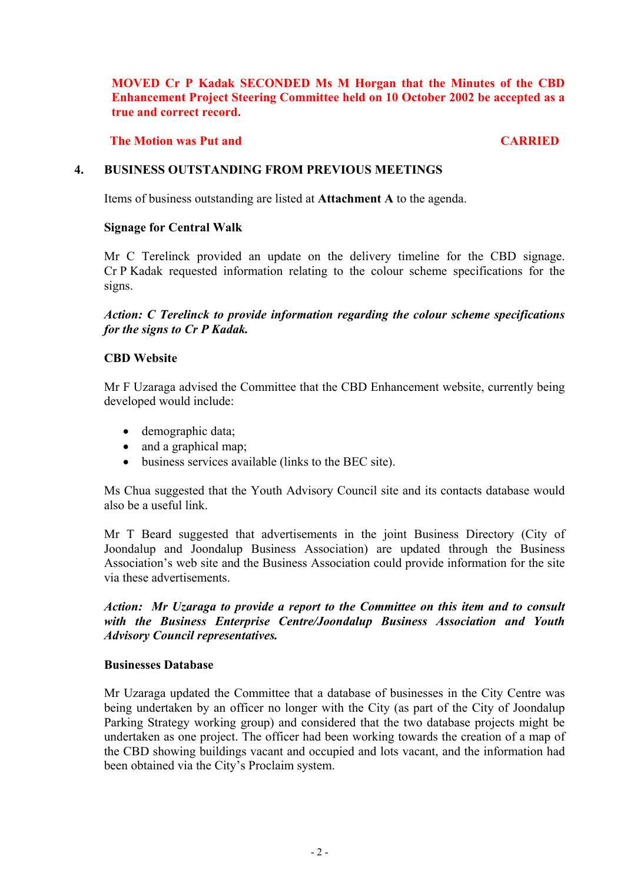**MOVED Cr P Kadak SECONDED Ms M Horgan that the Minutes of the CBD Enhancement Project Steering Committee held on 10 October 2002 be accepted as a true and correct record.**

## **The Motion was Put and CARRIED CARRIED**

## **4. BUSINESS OUTSTANDING FROM PREVIOUS MEETINGS**

Items of business outstanding are listed at **Attachment A** to the agenda.

## **Signage for Central Walk**

Mr C Terelinck provided an update on the delivery timeline for the CBD signage. Cr P Kadak requested information relating to the colour scheme specifications for the signs.

*Action: C Terelinck to provide information regarding the colour scheme specifications for the signs to Cr P Kadak.* 

## **CBD Website**

Mr F Uzaraga advised the Committee that the CBD Enhancement website, currently being developed would include:

- demographic data;
- and a graphical map;
- business services available (links to the BEC site).

Ms Chua suggested that the Youth Advisory Council site and its contacts database would also be a useful link.

Mr T Beard suggested that advertisements in the joint Business Directory (City of Joondalup and Joondalup Business Association) are updated through the Business Association's web site and the Business Association could provide information for the site via these advertisements.

*Action: Mr Uzaraga to provide a report to the Committee on this item and to consult with the Business Enterprise Centre/Joondalup Business Association and Youth Advisory Council representatives.* 

## **Businesses Database**

Mr Uzaraga updated the Committee that a database of businesses in the City Centre was being undertaken by an officer no longer with the City (as part of the City of Joondalup Parking Strategy working group) and considered that the two database projects might be undertaken as one project. The officer had been working towards the creation of a map of the CBD showing buildings vacant and occupied and lots vacant, and the information had been obtained via the City's Proclaim system.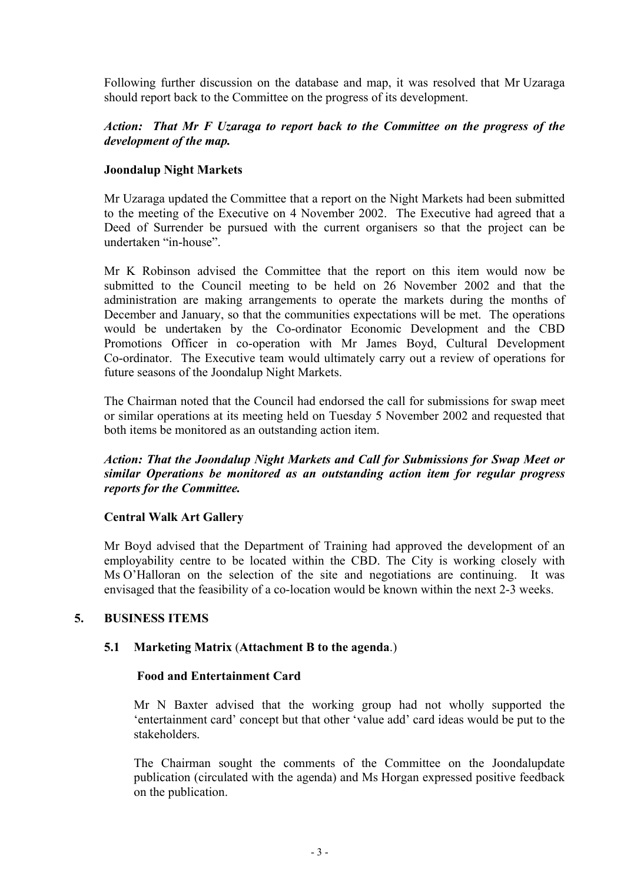Following further discussion on the database and map, it was resolved that Mr Uzaraga should report back to the Committee on the progress of its development.

## *Action: That Mr F Uzaraga to report back to the Committee on the progress of the development of the map.*

# **Joondalup Night Markets**

Mr Uzaraga updated the Committee that a report on the Night Markets had been submitted to the meeting of the Executive on 4 November 2002. The Executive had agreed that a Deed of Surrender be pursued with the current organisers so that the project can be undertaken "in-house".

Mr K Robinson advised the Committee that the report on this item would now be submitted to the Council meeting to be held on 26 November 2002 and that the administration are making arrangements to operate the markets during the months of December and January, so that the communities expectations will be met. The operations would be undertaken by the Co-ordinator Economic Development and the CBD Promotions Officer in co-operation with Mr James Boyd, Cultural Development Co-ordinator. The Executive team would ultimately carry out a review of operations for future seasons of the Joondalup Night Markets.

The Chairman noted that the Council had endorsed the call for submissions for swap meet or similar operations at its meeting held on Tuesday 5 November 2002 and requested that both items be monitored as an outstanding action item.

*Action: That the Joondalup Night Markets and Call for Submissions for Swap Meet or similar Operations be monitored as an outstanding action item for regular progress reports for the Committee.* 

## **Central Walk Art Gallery**

Mr Boyd advised that the Department of Training had approved the development of an employability centre to be located within the CBD. The City is working closely with Ms O'Halloran on the selection of the site and negotiations are continuing. It was envisaged that the feasibility of a co-location would be known within the next 2-3 weeks.

# **5. BUSINESS ITEMS**

# **5.1 Marketing Matrix** (**Attachment B to the agenda**.)

## **Food and Entertainment Card**

Mr N Baxter advised that the working group had not wholly supported the 'entertainment card' concept but that other 'value add' card ideas would be put to the stakeholders.

The Chairman sought the comments of the Committee on the Joondalupdate publication (circulated with the agenda) and Ms Horgan expressed positive feedback on the publication.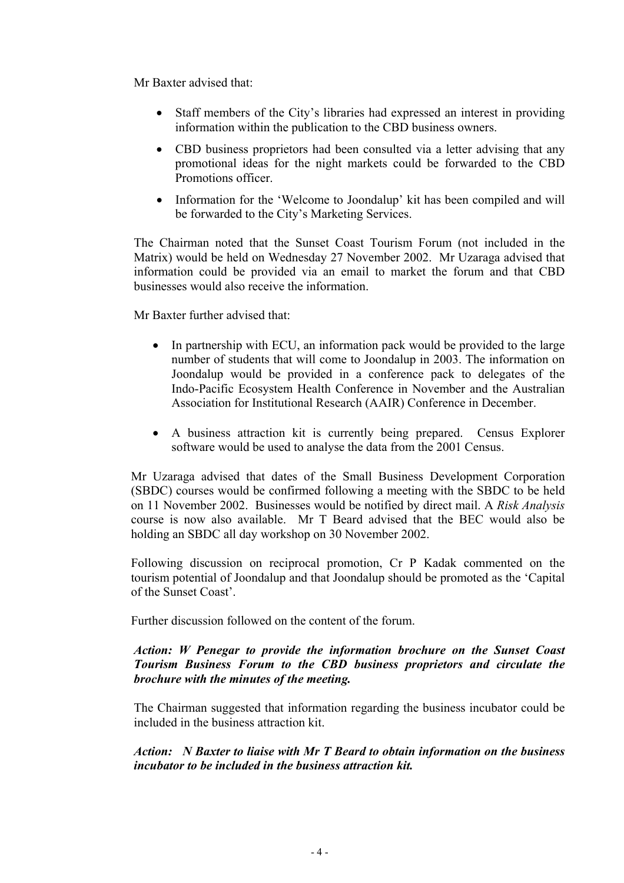Mr Baxter advised that:

- Staff members of the City's libraries had expressed an interest in providing information within the publication to the CBD business owners.
- CBD business proprietors had been consulted via a letter advising that any promotional ideas for the night markets could be forwarded to the CBD Promotions officer.
- Information for the 'Welcome to Joondalup' kit has been compiled and will be forwarded to the City's Marketing Services.

The Chairman noted that the Sunset Coast Tourism Forum (not included in the Matrix) would be held on Wednesday 27 November 2002. Mr Uzaraga advised that information could be provided via an email to market the forum and that CBD businesses would also receive the information.

Mr Baxter further advised that:

- In partnership with ECU, an information pack would be provided to the large number of students that will come to Joondalup in 2003. The information on Joondalup would be provided in a conference pack to delegates of the Indo-Pacific Ecosystem Health Conference in November and the Australian Association for Institutional Research (AAIR) Conference in December.
- A business attraction kit is currently being prepared. Census Explorer software would be used to analyse the data from the 2001 Census.

Mr Uzaraga advised that dates of the Small Business Development Corporation (SBDC) courses would be confirmed following a meeting with the SBDC to be held on 11 November 2002. Businesses would be notified by direct mail. A *Risk Analysis* course is now also available. Mr T Beard advised that the BEC would also be holding an SBDC all day workshop on 30 November 2002.

Following discussion on reciprocal promotion, Cr P Kadak commented on the tourism potential of Joondalup and that Joondalup should be promoted as the 'Capital of the Sunset Coast'.

Further discussion followed on the content of the forum.

# *Action: W Penegar to provide the information brochure on the Sunset Coast Tourism Business Forum to the CBD business proprietors and circulate the brochure with the minutes of the meeting.*

The Chairman suggested that information regarding the business incubator could be included in the business attraction kit.

*Action: N Baxter to liaise with Mr T Beard to obtain information on the business incubator to be included in the business attraction kit.*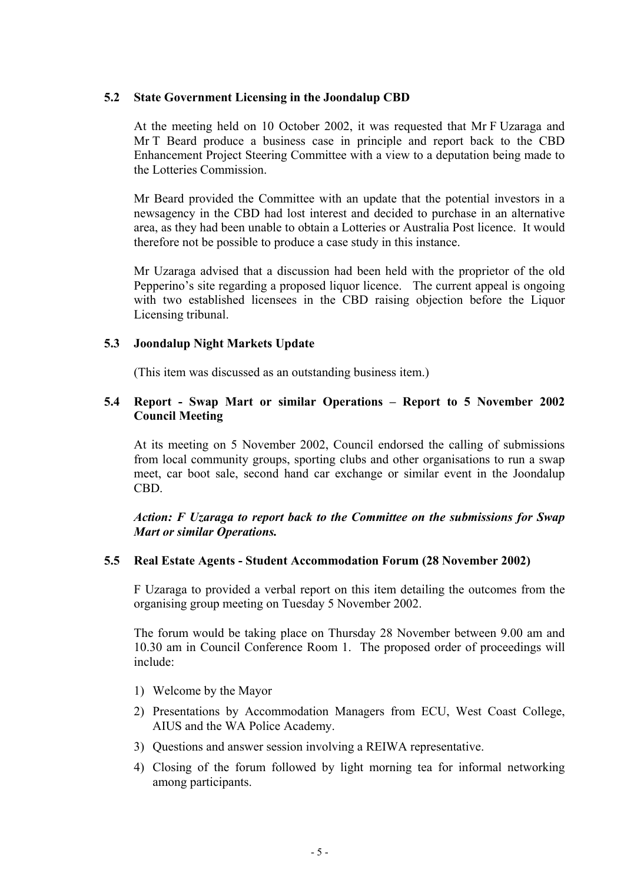## **5.2 State Government Licensing in the Joondalup CBD**

At the meeting held on 10 October 2002, it was requested that Mr F Uzaraga and Mr T Beard produce a business case in principle and report back to the CBD Enhancement Project Steering Committee with a view to a deputation being made to the Lotteries Commission.

Mr Beard provided the Committee with an update that the potential investors in a newsagency in the CBD had lost interest and decided to purchase in an alternative area, as they had been unable to obtain a Lotteries or Australia Post licence. It would therefore not be possible to produce a case study in this instance.

Mr Uzaraga advised that a discussion had been held with the proprietor of the old Pepperino's site regarding a proposed liquor licence. The current appeal is ongoing with two established licensees in the CBD raising objection before the Liquor Licensing tribunal.

## **5.3 Joondalup Night Markets Update**

(This item was discussed as an outstanding business item.)

## **5.4 Report - Swap Mart or similar Operations – Report to 5 November 2002 Council Meeting**

At its meeting on 5 November 2002, Council endorsed the calling of submissions from local community groups, sporting clubs and other organisations to run a swap meet, car boot sale, second hand car exchange or similar event in the Joondalup CBD.

*Action: F Uzaraga to report back to the Committee on the submissions for Swap Mart or similar Operations.* 

## **5.5 Real Estate Agents - Student Accommodation Forum (28 November 2002)**

F Uzaraga to provided a verbal report on this item detailing the outcomes from the organising group meeting on Tuesday 5 November 2002.

The forum would be taking place on Thursday 28 November between 9.00 am and 10.30 am in Council Conference Room 1. The proposed order of proceedings will include:

- 1) Welcome by the Mayor
- 2) Presentations by Accommodation Managers from ECU, West Coast College, AIUS and the WA Police Academy.
- 3) Questions and answer session involving a REIWA representative.
- 4) Closing of the forum followed by light morning tea for informal networking among participants.